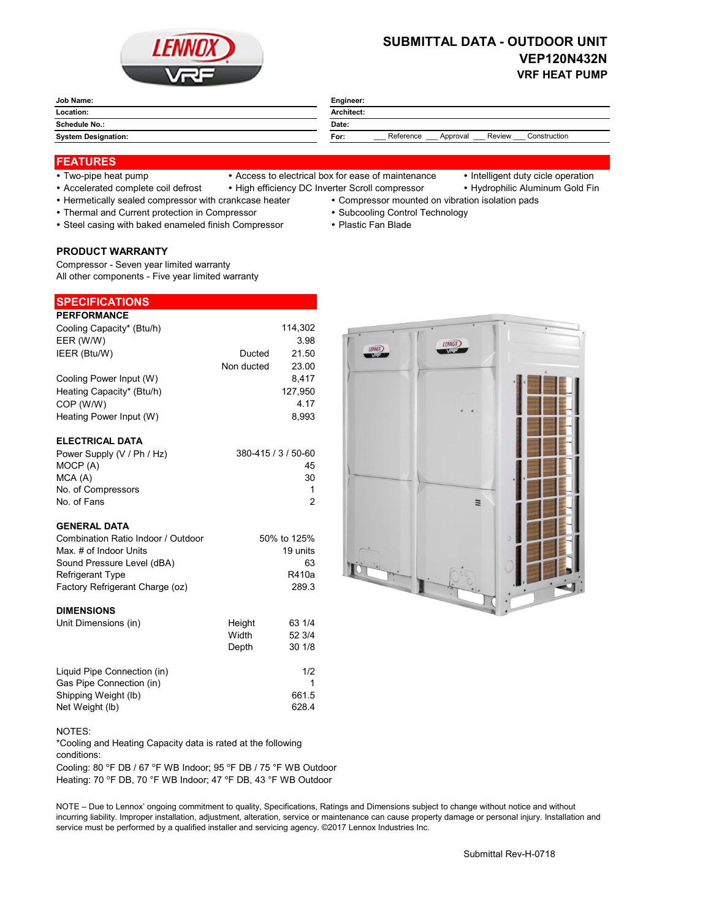

# **SUBMITTAL DATA - OUTDOOR UNIT VEP120N432N VRF HEAT PUMP**

#### **Job Name: Engineer: Location: Architect: Schedule No.:** Date: System Designation: **Form Form Form Form Form Form Form Form Form Form Form Form Form Form Form Form Form Form Form Form Form Form Form Form Form Form Form Form Form** Reference Approval Review Construction

### **FEATURES**

- 
- Two-pipe heat pump Access to electrical box for ease of maintenance Intelligent duty cicle operation
	-
- Accelerated complete coil defrost High efficiency DC Inverter Scroll compressor Hydrophilic Aluminum Gold Fin
- Hermetically sealed compressor with crankcase heater Compressor mounted on vibration isolation pads
	-
	-
- 
- Thermal and Current protection in Compressor Subcooling Control Technology
- Steel casing with baked enameled finish Compressor Plastic Fan Blade

#### **PRODUCT WARRANTY**

Compressor - Seven year limited warranty All other components - Five year limited warranty

#### **SPECIFICATIONS**

| <b>PERFORMANCE</b>        |            |         |
|---------------------------|------------|---------|
| Cooling Capacity* (Btu/h) |            | 114,302 |
| EER (W/W)                 |            | 3.98    |
| IEER (Btu/W)              | Ducted     | 21.50   |
|                           | Non ducted | 23.00   |
| Cooling Power Input (W)   |            | 8.417   |
| Heating Capacity* (Btu/h) |            | 127.950 |
| COP (W/W)                 |            | 4.17    |
| Heating Power Input (W)   |            | 8.993   |
|                           |            |         |

## **ELECTRICAL DATA**

| Power Supply (V / Ph / Hz) | 380-415 / 3 / 50-60 |
|----------------------------|---------------------|
| MOCP (A)                   | 45                  |
| MCA (A)                    | 30                  |
| No. of Compressors         |                     |
| No. of Fans                |                     |

#### **GENERAL DATA**

| Combination Ratio Indoor / Outdoor | 50% to 125% |
|------------------------------------|-------------|
| Max, # of Indoor Units             | 19 units    |
| Sound Pressure Level (dBA)         | 63          |
| <b>Refrigerant Type</b>            | R410a       |
| Factory Refrigerant Charge (oz)    | 2893        |

#### **DIMENSIONS**

| Unit Dimensions (in)        | Height | 63 1/4 |
|-----------------------------|--------|--------|
|                             | Width  | 52 3/4 |
|                             | Depth  | 30 1/8 |
| Liquid Pipe Connection (in) |        | 1/2    |
| Gas Pipe Connection (in)    |        |        |
| Shipping Weight (lb)        |        | 661.5  |
| Net Weight (lb)             |        | 628.4  |

NOTES:

\*Cooling and Heating Capacity data is rated at the following conditions:

Cooling: 80 °F DB / 67 °F WB Indoor; 95 °F DB / 75 °F WB Outdoor Heating: 70 °F DB, 70 °F WB Indoor; 47 °F DB, 43 °F WB Outdoor

NOTE – Due to Lennox' ongoing commitment to quality, Specifications, Ratings and Dimensions subject to change without notice and without incurring liability. Improper installation, adjustment, alteration, service or maintenance can cause property damage or personal injury. Installation and service must be performed by a qualified installer and servicing agency. ©2017 Lennox Industries Inc.

**LENNOX**  $L <sub>$H$ </sub> $R$  $X$</sub>$  $\equiv$ 

Submittal Rev-H-0718